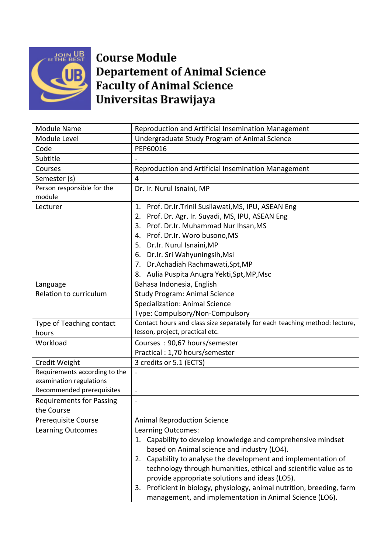

## **Course Module Departement of Animal Science Faculty of Animal Science** Universitas Brawijaya

| <b>Module Name</b>                                       | Reproduction and Artificial Insemination Management                                                           |
|----------------------------------------------------------|---------------------------------------------------------------------------------------------------------------|
| Module Level                                             | Undergraduate Study Program of Animal Science                                                                 |
| Code                                                     | PEP60016                                                                                                      |
| Subtitle                                                 |                                                                                                               |
| Courses                                                  | Reproduction and Artificial Insemination Management                                                           |
| Semester (s)                                             | 4                                                                                                             |
| Person responsible for the                               | Dr. Ir. Nurul Isnaini, MP                                                                                     |
| module                                                   |                                                                                                               |
| Lecturer                                                 | Prof. Dr.Ir.Trinil Susilawati, MS, IPU, ASEAN Eng<br>1.                                                       |
|                                                          | 2. Prof. Dr. Agr. Ir. Suyadi, MS, IPU, ASEAN Eng                                                              |
|                                                          | 3. Prof. Dr.Ir. Muhammad Nur Ihsan, MS                                                                        |
|                                                          | 4. Prof. Dr.Ir. Woro busono, MS                                                                               |
|                                                          | 5. Dr.Ir. Nurul Isnaini, MP                                                                                   |
|                                                          | 6. Dr.Ir. Sri Wahyuningsih, Msi                                                                               |
|                                                          | 7. Dr. Achadiah Rachmawati, Spt, MP                                                                           |
|                                                          | Aulia Puspita Anugra Yekti, Spt, MP, Msc<br>8.                                                                |
| Language                                                 | Bahasa Indonesia, English                                                                                     |
| Relation to curriculum                                   | <b>Study Program: Animal Science</b>                                                                          |
|                                                          | <b>Specialization: Animal Science</b>                                                                         |
|                                                          | Type: Compulsory/Non-Compulsory<br>Contact hours and class size separately for each teaching method: lecture, |
| Type of Teaching contact                                 | lesson, project, practical etc.                                                                               |
| hours                                                    |                                                                                                               |
| Workload                                                 | Courses: 90,67 hours/semester                                                                                 |
|                                                          | Practical: 1,70 hours/semester                                                                                |
| Credit Weight                                            | 3 credits or 5.1 (ECTS)                                                                                       |
| Requirements according to the<br>examination regulations | $\frac{1}{2}$                                                                                                 |
| Recommended prerequisites                                | $\blacksquare$                                                                                                |
| <b>Requirements for Passing</b>                          | $\overline{\phantom{a}}$                                                                                      |
| the Course                                               |                                                                                                               |
| <b>Prerequisite Course</b>                               | <b>Animal Reproduction Science</b>                                                                            |
| <b>Learning Outcomes</b>                                 | Learning Outcomes:                                                                                            |
|                                                          | Capability to develop knowledge and comprehensive mindset<br>1.                                               |
|                                                          | based on Animal science and industry (LO4).                                                                   |
|                                                          | 2. Capability to analyse the development and implementation of                                                |
|                                                          | technology through humanities, ethical and scientific value as to                                             |
|                                                          | provide appropriate solutions and ideas (LO5).                                                                |
|                                                          | 3. Proficient in biology, physiology, animal nutrition, breeding, farm                                        |
|                                                          | management, and implementation in Animal Science (LO6).                                                       |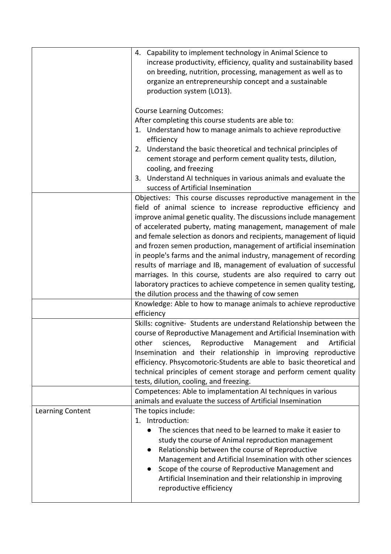|                  | 4. Capability to implement technology in Animal Science to<br>increase productivity, efficiency, quality and sustainability based<br>on breeding, nutrition, processing, management as well as to<br>organize an entrepreneurship concept and a sustainable<br>production system (LO13).<br><b>Course Learning Outcomes:</b>                                                                                                                                                                                                                                                                                                                                                                                                                                                                                                                                                                                                                                                                                                                                                                                                                                                                                                                                                                                                      |
|------------------|-----------------------------------------------------------------------------------------------------------------------------------------------------------------------------------------------------------------------------------------------------------------------------------------------------------------------------------------------------------------------------------------------------------------------------------------------------------------------------------------------------------------------------------------------------------------------------------------------------------------------------------------------------------------------------------------------------------------------------------------------------------------------------------------------------------------------------------------------------------------------------------------------------------------------------------------------------------------------------------------------------------------------------------------------------------------------------------------------------------------------------------------------------------------------------------------------------------------------------------------------------------------------------------------------------------------------------------|
|                  | After completing this course students are able to:<br>1. Understand how to manage animals to achieve reproductive                                                                                                                                                                                                                                                                                                                                                                                                                                                                                                                                                                                                                                                                                                                                                                                                                                                                                                                                                                                                                                                                                                                                                                                                                 |
|                  | efficiency<br>2. Understand the basic theoretical and technical principles of<br>cement storage and perform cement quality tests, dilution,<br>cooling, and freezing<br>Understand AI techniques in various animals and evaluate the<br>3.<br>success of Artificial Insemination                                                                                                                                                                                                                                                                                                                                                                                                                                                                                                                                                                                                                                                                                                                                                                                                                                                                                                                                                                                                                                                  |
|                  | Objectives: This course discusses reproductive management in the<br>field of animal science to increase reproductive efficiency and<br>improve animal genetic quality. The discussions include management<br>of accelerated puberty, mating management, management of male<br>and female selection as donors and recipients, management of liquid<br>and frozen semen production, management of artificial insemination<br>in people's farms and the animal industry, management of recording<br>results of marriage and IB, management of evaluation of successful<br>marriages. In this course, students are also required to carry out<br>laboratory practices to achieve competence in semen quality testing,<br>the dilution process and the thawing of cow semen<br>Knowledge: Able to how to manage animals to achieve reproductive<br>efficiency<br>Skills: cognitive- Students are understand Relationship between the<br>course of Reproductive Management and Artificial Insemination with<br>sciences, Reproductive Management<br>and<br>Artificial<br>other<br>Insemination and their relationship in improving reproductive<br>efficiency. Phsycomotoric-Students are able to basic theoretical and<br>technical principles of cement storage and perform cement quality<br>tests, dilution, cooling, and freezing. |
|                  | Competences: Able to implamentation AI techniques in various<br>animals and evaluate the success of Artificial Insemination                                                                                                                                                                                                                                                                                                                                                                                                                                                                                                                                                                                                                                                                                                                                                                                                                                                                                                                                                                                                                                                                                                                                                                                                       |
| Learning Content | The topics include:<br>1. Introduction:<br>The sciences that need to be learned to make it easier to<br>study the course of Animal reproduction management<br>Relationship between the course of Reproductive<br>Management and Artificial Insemination with other sciences<br>Scope of the course of Reproductive Management and<br>Artificial Insemination and their relationship in improving<br>reproductive efficiency                                                                                                                                                                                                                                                                                                                                                                                                                                                                                                                                                                                                                                                                                                                                                                                                                                                                                                       |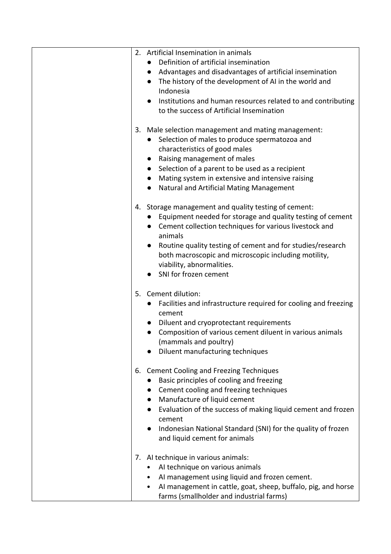| 2. Artificial Insemination in animals                                        |
|------------------------------------------------------------------------------|
| Definition of artificial insemination<br>$\bullet$                           |
| Advantages and disadvantages of artificial insemination<br>$\bullet$         |
| The history of the development of AI in the world and                        |
| Indonesia                                                                    |
| Institutions and human resources related to and contributing                 |
| to the success of Artificial Insemination                                    |
|                                                                              |
|                                                                              |
| 3. Male selection management and mating management:                          |
| • Selection of males to produce spermatozoa and                              |
| characteristics of good males                                                |
| Raising management of males<br>$\bullet$                                     |
| Selection of a parent to be used as a recipient<br>$\bullet$                 |
| Mating system in extensive and intensive raising<br>$\bullet$                |
| <b>Natural and Artificial Mating Management</b><br>$\bullet$                 |
|                                                                              |
| Storage management and quality testing of cement:<br>4.                      |
| • Equipment needed for storage and quality testing of cement                 |
|                                                                              |
| Cement collection techniques for various livestock and<br>$\bullet$          |
| animals                                                                      |
| Routine quality testing of cement and for studies/research<br>$\bullet$      |
| both macroscopic and microscopic including motility,                         |
| viability, abnormalities.                                                    |
| SNI for frozen cement                                                        |
|                                                                              |
| 5. Cement dilution:                                                          |
| Facilities and infrastructure required for cooling and freezing<br>$\bullet$ |
| cement                                                                       |
| Diluent and cryoprotectant requirements                                      |
| Composition of various cement diluent in various animals<br>$\bullet$        |
|                                                                              |
| (mammals and poultry)                                                        |
| Diluent manufacturing techniques                                             |
|                                                                              |
| <b>Cement Cooling and Freezing Techniques</b><br>6.                          |
| Basic principles of cooling and freezing<br>$\bullet$                        |
| Cement cooling and freezing techniques                                       |
| Manufacture of liquid cement<br>$\bullet$                                    |
| Evaluation of the success of making liquid cement and frozen                 |
| cement                                                                       |
| Indonesian National Standard (SNI) for the quality of frozen                 |
| and liquid cement for animals                                                |
|                                                                              |
| 7. Al technique in various animals:                                          |
|                                                                              |
| Al technique on various animals                                              |
| AI management using liquid and frozen cement.<br>٠                           |
| AI management in cattle, goat, sheep, buffalo, pig, and horse<br>$\bullet$   |
| farms (smallholder and industrial farms)                                     |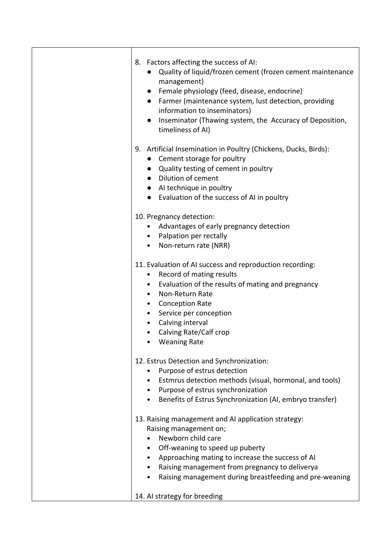| 8. Factors affecting the success of AI:<br>Quality of liquid/frozen cement (frozen cement maintenance<br>management)<br>Female physiology (feed, disease, endocrine)<br>$\bullet$<br>Farmer (maintenance system, lust detection, providing<br>$\bullet$<br>information to inseminators)<br>Inseminator (Thawing system, the Accuracy of Deposition,<br>timeliness of AI) |
|--------------------------------------------------------------------------------------------------------------------------------------------------------------------------------------------------------------------------------------------------------------------------------------------------------------------------------------------------------------------------|
| 9. Artificial Insemination in Poultry (Chickens, Ducks, Birds):<br>• Cement storage for poultry<br>Quality testing of cement in poultry<br><b>Dilution of cement</b><br>$\bullet$<br>• Al technique in poultry<br>Evaluation of the success of AI in poultry                                                                                                             |
| 10. Pregnancy detection:<br>Advantages of early pregnancy detection<br>$\bullet$<br>• Palpation per rectally<br>Non-return rate (NRR)                                                                                                                                                                                                                                    |
| 11. Evaluation of AI success and reproduction recording:<br>Record of mating results<br>٠<br>Evaluation of the results of mating and pregnancy<br>$\bullet$<br>Non-Return Rate<br><b>Conception Rate</b><br>$\bullet$<br>Service per conception<br>Calving interval<br>Calving Rate/Calf crop<br><b>Weaning Rate</b>                                                     |
| 12. Estrus Detection and Synchronization:<br>Purpose of estrus detection<br>Estmrus detection methods (visual, hormonal, and tools)<br>• Purpose of estrus synchronization<br>Benefits of Estrus Synchronization (AI, embryo transfer)                                                                                                                                   |
| 13. Raising management and AI application strategy:<br>Raising management on;<br>Newborn child care<br>Off-weaning to speed up puberty<br>Approaching mating to increase the success of AI<br>Raising management from pregnancy to deliverya<br>Raising management during breastfeeding and pre-weaning                                                                  |
| 14. Al strategy for breeding                                                                                                                                                                                                                                                                                                                                             |